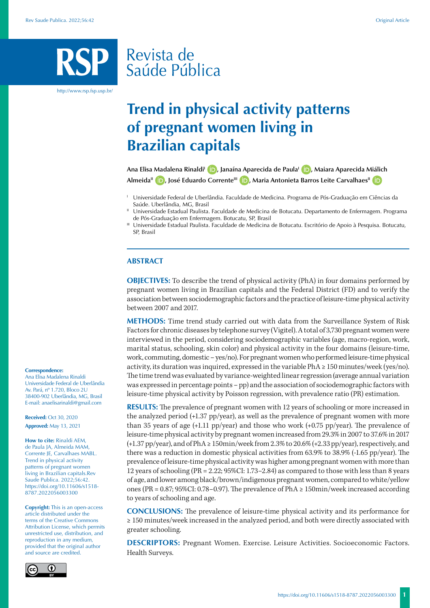# Revista de Saúde Pública

http://www.rsp.fsp.usp.br/

# **Trend in physical activity patterns of pregnant women living in Brazilian capitals**

Ana Elisa Madalena Rinaldi<sup>1</sup> **D**[,](http://orcid.org/0000-0003-1034-4336) Janaína Aparecida de Paula<sup>1</sup> **D**, Maiara Aparecida Miálich Almeida<sup>II</sup> **D**[,](http://orcid.org/0000-0001-5478-4996) José Eduardo Corrente<sup>III</sup> **D**, Maria Antonieta Barros Leite Carvalhaes<sup>II</sup> **D** 

- <sup>I</sup> Universidade Federal de Uberlândia. Faculdade de Medicina. Programa de Pós-Graduação em Ciências da Saúde. Uberlândia, MG, Brasil
- Universidade Estadual Paulista. Faculdade de Medicina de Botucatu. Departamento de Enfermagem. Programa de Pós-Graduação em Enfermagem. Botucatu, SP, Brasil
- III Universidade Estadual Paulista. Faculdade de Medicina de Botucatu. Escritório de Apoio à Pesquisa. Botucatu, SP, Brasil

#### **ABSTRACT**

**OBJECTIVES:** To describe the trend of physical activity (PhA) in four domains performed by pregnant women living in Brazilian capitals and the Federal District (FD) and to verify the association between sociodemographic factors and the practice of leisure-time physical activity between 2007 and 2017.

**METHODS:** Time trend study carried out with data from the Surveillance System of Risk Factors for chronic diseases by telephone survey (Vigitel). A total of 3,730 pregnant women were interviewed in the period, considering sociodemographic variables (age, macro-region, work, marital status, schooling, skin color) and physical activity in the four domains (leisure-time, work, commuting, domestic – yes/no). For pregnant women who performed leisure-time physical activity, its duration was inquired, expressed in the variable PhA ≥ 150 minutes/week (yes/no). The time trend was evaluated by variance-weighted linear regression (average annual variation was expressed in percentage points – pp) and the association of sociodemographic factors with leisure-time physical activity by Poisson regression, with prevalence ratio (PR) estimation.

**RESULTS:** The prevalence of pregnant women with 12 years of schooling or more increased in the analyzed period (+1.37 pp/year), as well as the prevalence of pregnant women with more than 35 years of age  $(+1.11 \text{ pp/year})$  and those who work  $(+0.75 \text{ pp/year})$ . The prevalence of leisure-time physical activity by pregnant women increased from 29.3% in 2007 to 37.6% in 2017 (+1.37 pp/year), and of PhA ≥ 150min/week from 2.3% to 20.6% (+2.33 pp/year), respectively, and there was a reduction in domestic physical activities from 63.9% to 38.9% (-1.65 pp/year). The prevalence of leisure-time physical activity was higher among pregnant women with more than 12 years of schooling (PR = 2.22; 95%CI: 1.73–2.84) as compared to those with less than 8 years of age, and lower among black/brown/indigenous pregnant women, compared to white/yellow ones (PR =  $0.87$ ; 95%CI: 0.78–0.97). The prevalence of PhA  $\geq 150$ min/week increased according to years of schooling and age.

**CONCLUSIONS:** The prevalence of leisure-time physical activity and its performance for ≥ 150 minutes/week increased in the analyzed period, and both were directly associated with greater schooling.

**DESCRIPTORS:** Pregnant Women. Exercise. Leisure Activities. Socioeconomic Factors. Health Surveys.

#### **Correspondence:**

Ana Elisa Madalena Rinaldi Universidade Federal de Uberlândia Av. Pará, nº 1.720, Bloco 2U 38400-902 Uberlândia, MG, Brasil E-mail: anaelisarinaldi@gmail.com

**Received:** Oct 30, 2020 **Approved:** May 13, 2021

**How to cite:** Rinaldi AEM, de Paula JA, Almeida MAM, Corrente JE, Carvalhaes MABL. Trend in physical activity patterns of pregnant women living in Brazilian capitals.Rev Saude Publica. 2022;56:42. https://doi.org/10.11606/s1518- 8787.2022056003300

**Copyright:** This is an open-access article distributed under the terms of the Creative Commons Attribution License, which permits unrestricted use, distribution, and reproduction in any medium, provided that the original author and source are credited.

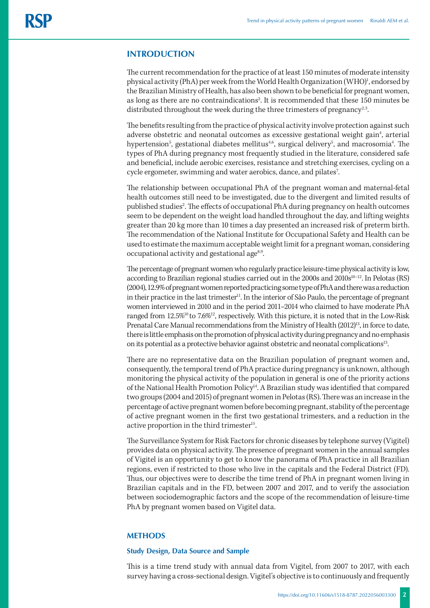# **INTRODUCTION**

The current recommendation for the practice of at least 150 minutes of moderate intensity physical activity (PhA) per week from the World Health Organization (WHO)<sup>1</sup>, endorsed by the Brazilian Ministry of Health, has also been shown to be beneficial for pregnant women, as long as there are no contraindications<sup>2</sup>. It is recommended that these 150 minutes be distributed throughout the week during the three trimesters of pregnancy<sup>2,3</sup>.

The benefits resulting from the practice of physical activity involve protection against such adverse obstetric and neonatal outcomes as excessive gestational weight gain<sup>4</sup>, arterial hypertension<sup>5</sup>, gestational diabetes mellitus<sup>4,6</sup>, surgical delivery<sup>5</sup>, and macrosomia<sup>4</sup>. The types of PhA during pregnancy most frequently studied in the literature, considered safe and beneficial, include aerobic exercises, resistance and stretching exercises, cycling on a cycle ergometer, swimming and water aerobics, dance, and pilates<sup>7</sup>. .

The relationship between occupational PhA of the pregnant woman and maternal-fetal health outcomes still need to be investigated, due to the divergent and limited results of published studies<sup>2</sup>. The effects of occupational PhA during pregnancy on health outcomes seem to be dependent on the weight load handled throughout the day, and lifting weights greater than 20 kg more than 10 times a day presented an increased risk of preterm birth. The recommendation of the National Institute for Occupational Safety and Health can be used to estimate the maximum acceptable weight limit for a pregnant woman, considering occupational activity and gestational age<sup>8,9</sup>.

The percentage of pregnant women who regularly practice leisure-time physical activity is low, according to Brazilian regional studies carried out in the 2000s and 2010s<sup>10-12</sup>. In Pelotas (RS) (2004), 12.9% of pregnant women reported practicing some type of PhA and there was a reduction in their practice in the last trimester<sup>11</sup>. In the interior of São Paulo, the percentage of pregnant women interviewed in 2010 and in the period 2011–2014 who claimed to have moderate PhA ranged from 12.5%<sup>10</sup> to 7.6%<sup>12</sup>, respectively. With this picture, it is noted that in the Low-Risk Prenatal Care Manual recommendations from the Ministry of Health (2012)<sup>13</sup>, in force to date, there is little emphasis on the promotion of physical activity during pregnancy and no emphasis on its potential as a protective behavior against obstetric and neonatal complications13.

There are no representative data on the Brazilian population of pregnant women and, consequently, the temporal trend of PhA practice during pregnancy is unknown, although monitoring the physical activity of the population in general is one of the priority actions of the National Health Promotion Policy<sup>14</sup>. A Brazilian study was identified that compared two groups (2004 and 2015) of pregnant women in Pelotas (RS). There was an increase in the percentage of active pregnant women before becoming pregnant, stability of the percentage of active pregnant women in the first two gestational trimesters, and a reduction in the active proportion in the third trimester<sup>15</sup>.

The Surveillance System for Risk Factors for chronic diseases by telephone survey (Vigitel) provides data on physical activity. The presence of pregnant women in the annual samples of Vigitel is an opportunity to get to know the panorama of PhA practice in all Brazilian regions, even if restricted to those who live in the capitals and the Federal District (FD). Thus, our objectives were to describe the time trend of PhA in pregnant women living in Brazilian capitals and in the FD, between 2007 and 2017, and to verify the association between sociodemographic factors and the scope of the recommendation of leisure-time PhA by pregnant women based on Vigitel data.

### **METHODS**

#### **Study Design, Data Source and Sample**

This is a time trend study with annual data from Vigitel, from 2007 to 2017, with each survey having a cross-sectional design. Vigitel's objective is to continuously and frequently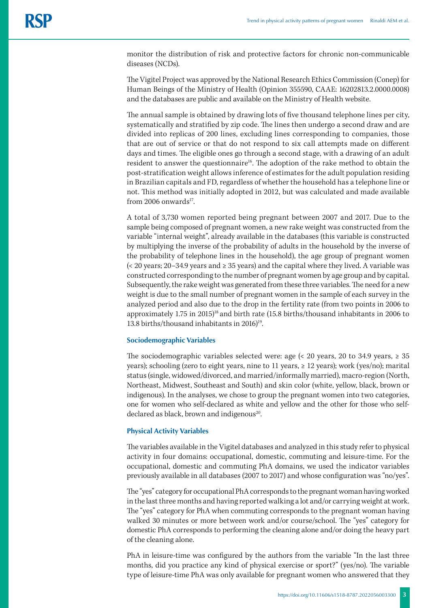monitor the distribution of risk and protective factors for chronic non-communicable diseases (NCDs).

The Vigitel Project was approved by the National Research Ethics Commission (Conep) for Human Beings of the Ministry of Health (Opinion 355590, CAAE: 16202813.2.0000.0008) and the databases are public and available on the Ministry of Health website.

The annual sample is obtained by drawing lots of five thousand telephone lines per city, systematically and stratified by zip code. The lines then undergo a second draw and are divided into replicas of 200 lines, excluding lines corresponding to companies, those that are out of service or that do not respond to six call attempts made on different days and times. The eligible ones go through a second stage, with a drawing of an adult resident to answer the questionnaire<sup>16</sup>. The adoption of the rake method to obtain the post-stratification weight allows inference of estimates for the adult population residing in Brazilian capitals and FD, regardless of whether the household has a telephone line or not. This method was initially adopted in 2012, but was calculated and made available from 2006 onwards $17$ .

A total of 3,730 women reported being pregnant between 2007 and 2017. Due to the sample being composed of pregnant women, a new rake weight was constructed from the variable "internal weight", already available in the databases (this variable is constructed by multiplying the inverse of the probability of adults in the household by the inverse of the probability of telephone lines in the household), the age group of pregnant women (< 20 years; 20–34.9 years and ≥ 35 years) and the capital where they lived. A variable was constructed corresponding to the number of pregnant women by age group and by capital. Subsequently, the rakeweight was generated from these three variables. The need for a new weight is due to the small number of pregnant women in the sample of each survey in the analyzed period and also due to the drop in the fertility rate (from two points in 2006 to approximately 1.75 in 2015)<sup>18</sup> and birth rate (15.8 births/thousand inhabitants in 2006 to 13.8 births/thousand inhabitants in 2016)<sup>19</sup>.

#### **Sociodemographic Variables**

The sociodemographic variables selected were: age  $\left($  < 20 years, 20 to 34.9 years,  $\geq$  35 years); schooling (zero to eight years, nine to 11 years, ≥ 12 years); work (yes/no); marital status (single, widowed/divorced, and married/informally married), macro-region (North, Northeast, Midwest, Southeast and South) and skin color (white, yellow, black, brown or indigenous). In the analyses, we chose to group the pregnant women into two categories, one for women who self-declared as white and yellow and the other for those who selfdeclared as black, brown and indigenous<sup>20</sup>.

#### **Physical Activity Variables**

The variables available in the Vigitel databases and analyzed in this study refer to physical activity in four domains: occupational, domestic, commuting and leisure-time. For the occupational, domestic and commuting PhA domains, we used the indicator variables previously available in all databases (2007 to 2017) and whose configuration was "no/yes".

The "yes" category for occupational PhA corresponds to the pregnant woman having worked in the last three months and having reported walking a lot and/or carrying weight at work. The "yes" category for PhA when commuting corresponds to the pregnant woman having walked 30 minutes or more between work and/or course/school. The "yes" category for domestic PhA corresponds to performing the cleaning alone and/or doing the heavy part of the cleaning alone.

PhA in leisure-time was configured by the authors from the variable "In the last three months, did you practice any kind of physical exercise or sport?" (yes/no). The variable type of leisure-time PhA was only available for pregnant women who answered that they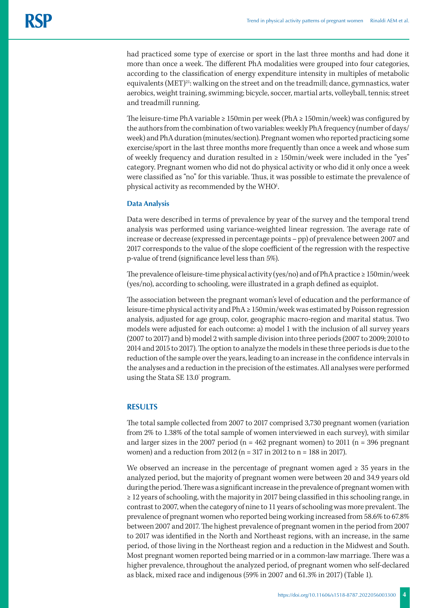had practiced some type of exercise or sport in the last three months and had done it more than once a week. The different PhA modalities were grouped into four categories, according to the classification of energy expenditure intensity in multiples of metabolic equivalents  $(MET)^{21}$ : walking on the street and on the treadmill; dance, gymnastics, water aerobics, weight training, swimming; bicycle, soccer, martial arts, volleyball, tennis; street and treadmill running.

The leisure-time PhA variable ≥ 150min per week (PhA ≥ 150min/week) was configured by the authors from the combination of two variables: weekly PhA frequency (number of days/ week) and PhA duration (minutes/section). Pregnant women who reported practicing some exercise/sport in the last three months more frequently than once a week and whose sum of weekly frequency and duration resulted in  $\geq 150$ min/week were included in the "yes" category. Pregnant women who did not do physical activity or who did it only once a week were classified as "no" for this variable. Thus, it was possible to estimate the prevalence of physical activity as recommended by the WHO<sup>1</sup>. .

### **Data Analysis**

Data were described in terms of prevalence by year of the survey and the temporal trend analysis was performed using variance-weighted linear regression. The average rate of increase or decrease (expressed in percentage points – pp) of prevalence between 2007 and 2017 corresponds to the value of the slope coefficient of the regression with the respective p-value of trend (significance level less than 5%).

The prevalence of leisure-time physical activity (yes/no) and of PhA practice ≥ 150min/week (yes/no), according to schooling, were illustrated in a graph defined as equiplot.

The association between the pregnant woman's level of education and the performance of leisure-time physical activity and PhA ≥ 150min/week was estimated by Poisson regression analysis, adjusted for age group, color, geographic macro-region and marital status. Two models were adjusted for each outcome: a) model 1 with the inclusion of all survey years (2007 to 2017) and b) model 2 with sample division into three periods (2007 to 2009; 2010 to 2014 and 2015 to 2017). The option to analyze the models in these three periods is due to the reduction of the sample over the years, leading to an increase in the confidence intervals in the analyses and a reduction in the precision of the estimates. All analyses were performed using the Stata SE 13.0° program.

# **RESULTS**

The total sample collected from 2007 to 2017 comprised 3,730 pregnant women (variation from 2% to 1.38% of the total sample of women interviewed in each survey), with similar and larger sizes in the 2007 period ( $n = 462$  pregnant women) to 2011 ( $n = 396$  pregnant women) and a reduction from 2012 (n = 317 in 2012 to n = 188 in 2017).

We observed an increase in the percentage of pregnant women aged  $\geq 35$  years in the analyzed period, but the majority of pregnant women were between 20 and 34.9 years old during the period. There was a significant increase in the prevalence of pregnant women with ≥ 12 years of schooling, with the majority in 2017 being classified in this schooling range, in contrast to 2007, when the category of nine to 11 years of schooling was more prevalent. The prevalence of pregnant women who reported being working increased from 58.6% to 67.8% between 2007 and 2017. The highest prevalence of pregnant women in the period from 2007 to 2017 was identified in the North and Northeast regions, with an increase, in the same period, of those living in the Northeast region and a reduction in the Midwest and South. Most pregnant women reported being married or in a common-law marriage. There was a higher prevalence, throughout the analyzed period, of pregnant women who self-declared as black, mixed race and indigenous (59% in 2007 and 61.3% in 2017) (Table 1).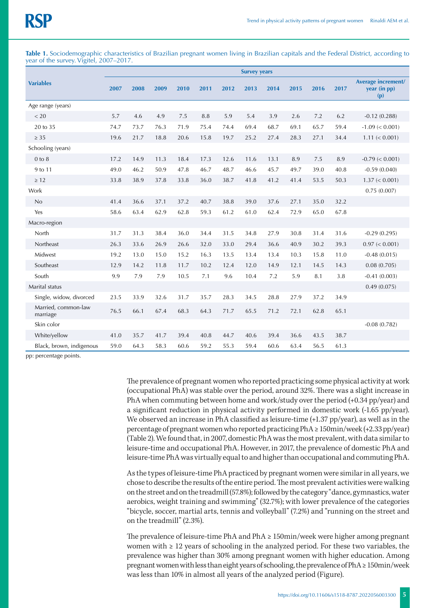Table 1. Sociodemographic characteristics of Brazilian pregnant women living in Brazilian capitals and the Federal District, according to year of the survey. Vigitel, 2007–2017.

|                                 | <b>Survey years</b> |      |      |      |      |      |      |      |      |      |      |                                           |
|---------------------------------|---------------------|------|------|------|------|------|------|------|------|------|------|-------------------------------------------|
| <b>Variables</b>                | 2007                | 2008 | 2009 | 2010 | 2011 | 2012 | 2013 | 2014 | 2015 | 2016 | 2017 | Average increment/<br>year (in pp)<br>(p) |
| Age range (years)               |                     |      |      |      |      |      |      |      |      |      |      |                                           |
| < 20                            | 5.7                 | 4.6  | 4.9  | 7.5  | 8.8  | 5.9  | 5.4  | 3.9  | 2.6  | 7.2  | 6.2  | $-0.12(0.288)$                            |
| 20 to 35                        | 74.7                | 73.7 | 76.3 | 71.9 | 75.4 | 74.4 | 69.4 | 68.7 | 69.1 | 65.7 | 59.4 | $-1.09 \le 0.001$                         |
| $\geq 35$                       | 19.6                | 21.7 | 18.8 | 20.6 | 15.8 | 19.7 | 25.2 | 27.4 | 28.3 | 27.1 | 34.4 | $1.11 \leq 0.001$                         |
| Schooling (years)               |                     |      |      |      |      |      |      |      |      |      |      |                                           |
| $0$ to $8$                      | 17.2                | 14.9 | 11.3 | 18.4 | 17.3 | 12.6 | 11.6 | 13.1 | 8.9  | 7.5  | 8.9  | $-0.79 \le 0.001$                         |
| 9 to 11                         | 49.0                | 46.2 | 50.9 | 47.8 | 46.7 | 48.7 | 46.6 | 45.7 | 49.7 | 39.0 | 40.8 | $-0.59(0.040)$                            |
| $\geq 12$                       | 33.8                | 38.9 | 37.8 | 33.8 | 36.0 | 38.7 | 41.8 | 41.2 | 41.4 | 53.5 | 50.3 | $1.37 \le 0.001$                          |
| Work                            |                     |      |      |      |      |      |      |      |      |      |      | 0.75(0.007)                               |
| No                              | 41.4                | 36.6 | 37.1 | 37.2 | 40.7 | 38.8 | 39.0 | 37.6 | 27.1 | 35.0 | 32.2 |                                           |
| Yes                             | 58.6                | 63.4 | 62.9 | 62.8 | 59.3 | 61.2 | 61.0 | 62.4 | 72.9 | 65.0 | 67.8 |                                           |
| Macro-region                    |                     |      |      |      |      |      |      |      |      |      |      |                                           |
| North                           | 31.7                | 31.3 | 38.4 | 36.0 | 34.4 | 31.5 | 34.8 | 27.9 | 30.8 | 31.4 | 31.6 | $-0.29(0.295)$                            |
| Northeast                       | 26.3                | 33.6 | 26.9 | 26.6 | 32.0 | 33.0 | 29.4 | 36.6 | 40.9 | 30.2 | 39.3 | $0.97 \leq 0.001$                         |
| Midwest                         | 19.2                | 13.0 | 15.0 | 15.2 | 16.3 | 13.5 | 13.4 | 13.4 | 10.3 | 15.8 | 11.0 | $-0.48(0.015)$                            |
| Southeast                       | 12.9                | 14.2 | 11.8 | 11.7 | 10.2 | 12.4 | 12.0 | 14.9 | 12.1 | 14.5 | 14.3 | 0.08(0.705)                               |
| South                           | 9.9                 | 7.9  | 7.9  | 10.5 | 7.1  | 9.6  | 10.4 | 7.2  | 5.9  | 8.1  | 3.8  | $-0.41(0.003)$                            |
| Marital status                  |                     |      |      |      |      |      |      |      |      |      |      | 0.49(0.075)                               |
| Single, widow, divorced         | 23.5                | 33.9 | 32.6 | 31.7 | 35.7 | 28.3 | 34.5 | 28.8 | 27.9 | 37.2 | 34.9 |                                           |
| Married, common-law<br>marriage | 76.5                | 66.1 | 67.4 | 68.3 | 64.3 | 71.7 | 65.5 | 71.2 | 72.1 | 62.8 | 65.1 |                                           |
| Skin color                      |                     |      |      |      |      |      |      |      |      |      |      | $-0.08(0.782)$                            |
| White/yellow                    | 41.0                | 35.7 | 41.7 | 39.4 | 40.8 | 44.7 | 40.6 | 39.4 | 36.6 | 43.5 | 38.7 |                                           |
| Black, brown, indigenous        | 59.0                | 64.3 | 58.3 | 60.6 | 59.2 | 55.3 | 59.4 | 60.6 | 63.4 | 56.5 | 61.3 |                                           |

pp: percentage points.

The prevalence of pregnant women who reported practicing some physical activity at work (occupational PhA) was stable over the period, around 32%. There was a slight increase in PhA when commuting between home and work/study over the period (+0.34 pp/year) and a significant reduction in physical activity performed in domestic work (-1.65 pp/year). We observed an increase in PhA classified as leisure-time (+1.37 pp/year), as well as in the percentage of pregnant women who reported practicing PhA ≥ 150min/week (+2.33 pp/year) (Table 2). We found that, in 2007, domestic PhA was the most prevalent, with data similar to leisure-time and occupational PhA. However, in 2017, the prevalence of domestic PhA and leisure-time PhA was virtually equal to and higher than occupational and commuting PhA.

As the types of leisure-time PhA practiced by pregnant women were similar in all years, we chose to describe the results of the entire period. The most prevalent activities were walking on the street and on the treadmill (57.8%); followed by the category "dance, gymnastics, water aerobics, weight training and swimming" (32.7%); with lower prevalence of the categories "bicycle, soccer, martial arts, tennis and volleyball" (7.2%) and "running on the street and on the treadmill" (2.3%).

The prevalence of leisure-time PhA and  $PhA \geq 150$ min/week were higher among pregnant women with  $\geq 12$  years of schooling in the analyzed period. For these two variables, the prevalence was higher than 30% among pregnant women with higher education. Among pregnant women with less than eight years of schooling, the prevalence of PhA ≥ 150min/week was less than 10% in almost all years of the analyzed period (Figure).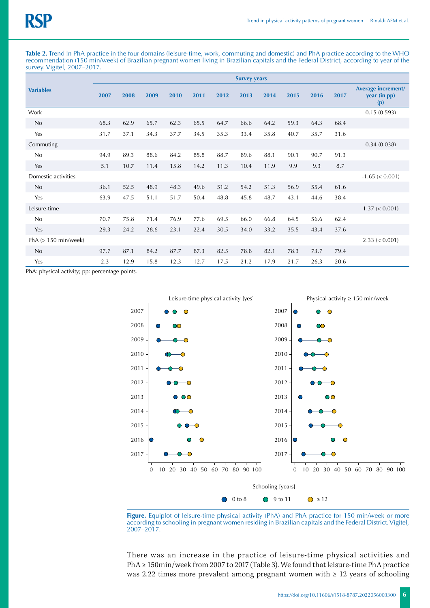**Table 2.** Trend in PhA practice in the four domains (leisure-time, work, commuting and domestic) and PhA practice according to the WHO recommendation (150 min/week) of Brazilian pregnant women living in Brazilian capitals and the Federal District, according to year of the survey. Vigitel, 2007–2017.

|                        | <b>Survey years</b> |      |      |      |      |      |      |      |      |      |      |                                           |
|------------------------|---------------------|------|------|------|------|------|------|------|------|------|------|-------------------------------------------|
| <b>Variables</b>       | 2007                | 2008 | 2009 | 2010 | 2011 | 2012 | 2013 | 2014 | 2015 | 2016 | 2017 | Average increment/<br>year (in pp)<br>(p) |
| Work                   |                     |      |      |      |      |      |      |      |      |      |      | 0.15(0.593)                               |
| No                     | 68.3                | 62.9 | 65.7 | 62.3 | 65.5 | 64.7 | 66.6 | 64.2 | 59.3 | 64.3 | 68.4 |                                           |
| Yes                    | 31.7                | 37.1 | 34.3 | 37.7 | 34.5 | 35.3 | 33.4 | 35.8 | 40.7 | 35.7 | 31.6 |                                           |
| Commuting              |                     |      |      |      |      |      |      |      |      |      |      | 0.34(0.038)                               |
| No                     | 94.9                | 89.3 | 88.6 | 84.2 | 85.8 | 88.7 | 89.6 | 88.1 | 90.1 | 90.7 | 91.3 |                                           |
| Yes                    | 5.1                 | 10.7 | 11.4 | 15.8 | 14.2 | 11.3 | 10.4 | 11.9 | 9.9  | 9.3  | 8.7  |                                           |
| Domestic activities    |                     |      |      |      |      |      |      |      |      |      |      | $-1.65 \le 0.001$                         |
| No                     | 36.1                | 52.5 | 48.9 | 48.3 | 49.6 | 51.2 | 54.2 | 51.3 | 56.9 | 55.4 | 61.6 |                                           |
| Yes                    | 63.9                | 47.5 | 51.1 | 51.7 | 50.4 | 48.8 | 45.8 | 48.7 | 43.1 | 44.6 | 38.4 |                                           |
| Leisure-time           |                     |      |      |      |      |      |      |      |      |      |      | $1.37 \le 0.001$                          |
| No                     | 70.7                | 75.8 | 71.4 | 76.9 | 77.6 | 69.5 | 66.0 | 66.8 | 64.5 | 56.6 | 62.4 |                                           |
| Yes                    | 29.3                | 24.2 | 28.6 | 23.1 | 22.4 | 30.5 | 34.0 | 33.2 | 35.5 | 43.4 | 37.6 |                                           |
| PhA $(> 150$ min/week) |                     |      |      |      |      |      |      |      |      |      |      | $2.33 \le 0.001$                          |
| No                     | 97.7                | 87.1 | 84.2 | 87.7 | 87.3 | 82.5 | 78.8 | 82.1 | 78.3 | 73.7 | 79.4 |                                           |
| Yes                    | 2.3                 | 12.9 | 15.8 | 12.3 | 12.7 | 17.5 | 21.2 | 17.9 | 21.7 | 26.3 | 20.6 |                                           |

PhA: physical activity; pp: percentage points.



Figure. Equiplot of leisure-time physical activity (PhA) and PhA practice for 150 min/week or more according to schooling in pregnant women residing in Brazilian capitals and the Federal District. Vigitel, 2007–2017.

There was an increase in the practice of leisure-time physical activities and PhA ≥ 150min/week from 2007 to 2017 (Table 3). We found that leisure-time PhA practice was 2.22 times more prevalent among pregnant women with  $\geq 12$  years of schooling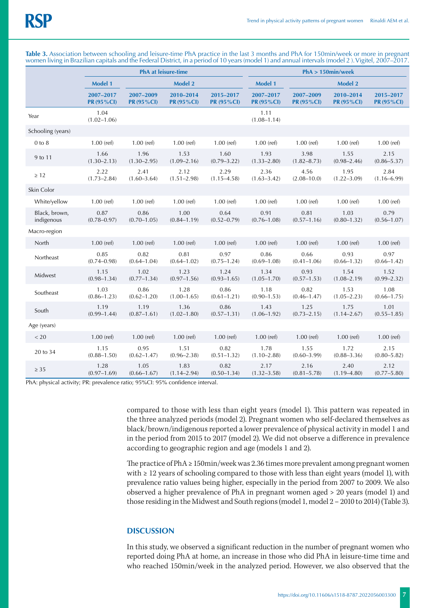|                             |                         | <b>PhA</b> at leisure-time     |                         |                                | $PhA > 150$ min/week      |                                |                         |                         |  |  |  |
|-----------------------------|-------------------------|--------------------------------|-------------------------|--------------------------------|---------------------------|--------------------------------|-------------------------|-------------------------|--|--|--|
|                             | <b>Model 1</b>          |                                | <b>Model 2</b>          |                                | <b>Model 1</b>            | <b>Model 2</b>                 |                         |                         |  |  |  |
|                             | 2007-2017<br>PR (95%CI) | 2007-2009<br><b>PR (95%CI)</b> | 2010-2014<br>PR (95%Cl) | 2015-2017<br><b>PR (95%CI)</b> | 2007-2017<br>$PR(95\%CI)$ | 2007-2009<br><b>PR (95%CI)</b> | 2010-2014<br>PR (95%Cl) | 2015-2017<br>PR (95%CI) |  |  |  |
| Year                        | 1.04<br>$(1.02 - 1.06)$ |                                |                         |                                | 1.11<br>$(1.08 - 1.14)$   |                                |                         |                         |  |  |  |
| Schooling (years)           |                         |                                |                         |                                |                           |                                |                         |                         |  |  |  |
| $0$ to $8$                  | $1.00$ (ref)            | $1.00$ (ref)                   | $1.00$ (ref)            | $1.00$ (ref)                   | $1.00$ (ref)              | $1.00$ (ref)                   | $1.00$ (ref)            | $1.00$ (ref)            |  |  |  |
| 9 to 11                     | 1.66<br>$(1.30 - 2.13)$ | 1.96<br>$(1.30 - 2.95)$        | 1.53<br>$(1.09 - 2.16)$ | 1.60<br>$(0.79 - 3.22)$        | 1.93<br>$(1.33 - 2.80)$   | 3.98<br>$(1.82 - 8.73)$        | 1.55<br>$(0.98 - 2.46)$ | 2.15<br>$(0.86 - 5.37)$ |  |  |  |
| $\geq 12$                   | 2.22<br>$(1.73 - 2.84)$ | 2.41<br>$(1.60 - 3.64)$        | 2.12<br>$(1.51 - 2.98)$ | 2.29<br>$(1.15 - 4.58)$        | 2.36<br>$(1.63 - 3.42)$   | 4.56<br>$(2.08 - 10.0)$        | 1.95<br>$(1.22 - 3.09)$ | 2.84<br>$(1.16 - 6.99)$ |  |  |  |
| Skin Color                  |                         |                                |                         |                                |                           |                                |                         |                         |  |  |  |
| White/yellow                | $1.00$ (ref)            | $1.00$ (ref)                   | $1.00$ (ref)            | $1.00$ (ref)                   | $1.00$ (ref)              | $1.00$ (ref)                   | $1.00$ (ref)            | $1.00$ (ref)            |  |  |  |
| Black, brown,<br>indigenous | 0.87<br>$(0.78 - 0.97)$ | 0.86<br>$(0.70 - 1.05)$        | 1.00<br>$(0.84 - 1.19)$ | 0.64<br>$(0.52 - 0.79)$        | 0.91<br>$(0.76 - 1.08)$   | 0.81<br>$(0.57 - 1.16)$        | 1.03<br>$(0.80 - 1.32)$ | 0.79<br>$(0.56 - 1.07)$ |  |  |  |
| Macro-region                |                         |                                |                         |                                |                           |                                |                         |                         |  |  |  |
| North                       | $1.00$ (ref)            | $1.00$ (ref)                   | $1.00$ (ref)            | $1.00$ (ref)                   | $1.00$ (ref)              | $1.00$ (ref)                   | $1.00$ (ref)            | $1.00$ (ref)            |  |  |  |
| Northeast                   | 0.85<br>$(0.74 - 0.98)$ | 0.82<br>$(0.64 - 1.04)$        | 0.81<br>$(0.64 - 1.02)$ | 0.97<br>$(0.75 - 1.24)$        | 0.86<br>$(0.69 - 1.08)$   | 0.66<br>$(0.41 - 1.06)$        | 0.93<br>$(0.66 - 1.32)$ | 0.97<br>$(0.66 - 1.42)$ |  |  |  |
| Midwest                     | 1.15<br>$(0.98 - 1.34)$ | 1.02<br>$(0.77 - 1.34)$        | 1.23<br>$(0.97 - 1.56)$ | 1.24<br>$(0.93 - 1.65)$        | 1.34<br>$(1.05 - 1.70)$   | 0.93<br>$(0.57 - 1.53)$        | 1.54<br>$(1.08 - 2.19)$ | 1.52<br>$(0.99 - 2.32)$ |  |  |  |
| Southeast                   | 1.03<br>$(0.86 - 1.23)$ | 0.86<br>$(0.62 - 1.20)$        | 1.28<br>$(1.00 - 1.65)$ | 0.86<br>$(0.61 - 1.21)$        | 1.18<br>$(0.90 - 1.53)$   | 0.82<br>$(0.46 - 1.47)$        | 1.53<br>$(1.05 - 2.23)$ | 1.08<br>$(0.66 - 1.75)$ |  |  |  |
| South                       | 1.19<br>$(0.99 - 1.44)$ | 1.19<br>$(0.87 - 1.61)$        | 1.36<br>$(1.02 - 1.80)$ | 0.86<br>$(0.57 - 1.31)$        | 1.43<br>$(1.06 - 1.92)$   | 1.25<br>$(0.73 - 2.15)$        | 1.75<br>$(1.14 - 2.67)$ | 1.01<br>$(0.55 - 1.85)$ |  |  |  |
| Age (years)                 |                         |                                |                         |                                |                           |                                |                         |                         |  |  |  |
| < 20                        | $1.00$ (ref)            | $1.00$ (ref)                   | $1.00$ (ref)            | $1.00$ (ref)                   | $1.00$ (ref)              | $1.00$ (ref)                   | $1.00$ (ref)            | $1.00$ (ref)            |  |  |  |
| 20 to 34                    | 1.15<br>$(0.88 - 1.50)$ | 0.95<br>$(0.62 - 1.47)$        | 1.51<br>$(0.96 - 2.38)$ | 0.82<br>$(0.51 - 1.32)$        | 1.78<br>$(1.10 - 2.88)$   | 1.55<br>$(0.60 - 3.99)$        | 1.72<br>$(0.88 - 3.36)$ | 2.15<br>$(0.80 - 5.82)$ |  |  |  |
| $\geq 35$                   | 1.28<br>$(0.97 - 1.69)$ | 1.05<br>$(0.66 - 1.67)$        | 1.83<br>$(1.14 - 2.94)$ | 0.82<br>$(0.50 - 1.34)$        | 2.17<br>$(1.32 - 3.58)$   | 2.16<br>$(0.81 - 5.78)$        | 2.40<br>$(1.19 - 4.80)$ | 2.12<br>$(0.77 - 5.80)$ |  |  |  |

**Table 3.** Association between schooling and leisure-time PhA practice in the last 3 months and PhA for 150min/week or more in pregnant women living in Brazilian capitals and the Federal District, in a period of 10 years (model 1) and annual intervals (model 2 ). Vigitel, 2007–2017.

PhA: physical activity; PR: prevalence ratio; 95%CI: 95% confidence interval.

compared to those with less than eight years (model 1). This pattern was repeated in the three analyzed periods (model 2). Pregnant women who self-declared themselves as black/brown/indigenous reported a lower prevalence of physical activity in model 1 and in the period from 2015 to 2017 (model 2). We did not observe a difference in prevalence according to geographic region and age (models 1 and 2).

The practice of  $PhA \geq 150$ min/week was 2.36 times more prevalent among pregnant women with  $\geq 12$  years of schooling compared to those with less than eight years (model 1), with prevalence ratio values being higher, especially in the period from 2007 to 2009. We also observed a higher prevalence of PhA in pregnant women aged > 20 years (model 1) and those residing in the Midwest and South regions (model 1, model 2 – 2010 to 2014) (Table 3).

# **DISCUSSION**

In this study, we observed a significant reduction in the number of pregnant women who reported doing PhA at home, an increase in those who did PhA in leisure-time time and who reached 150min/week in the analyzed period. However, we also observed that the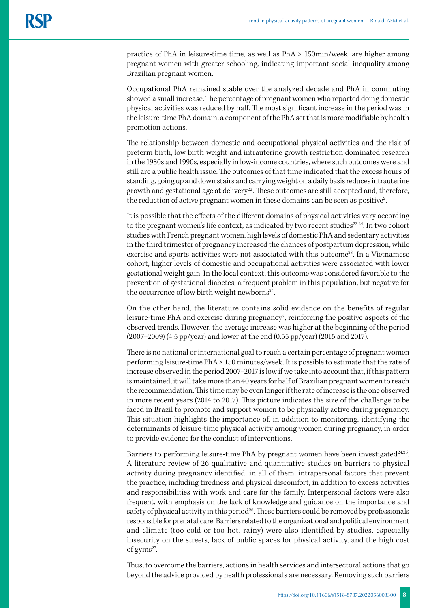practice of PhA in leisure-time time, as well as  $PhA \geq 150 \text{min/week}$ , are higher among pregnant women with greater schooling, indicating important social inequality among Brazilian pregnant women.

Occupational PhA remained stable over the analyzed decade and PhA in commuting showed a small increase. The percentage of pregnant women who reported doing domestic physical activities was reduced by half. The most significant increase in the period was in the leisure-time PhA domain, a component of the PhA set that is more modifiable by health promotion actions.

The relationship between domestic and occupational physical activities and the risk of preterm birth, low birth weight and intrauterine growth restriction dominated research in the 1980s and 1990s, especially in low-income countries, where such outcomes were and still are a public health issue. The outcomes of that time indicated that the excess hours of standing, going up and down stairs and carrying weight on a daily basis reduces intrauterine growth and gestational age at delivery<sup>22</sup>. These outcomes are still accepted and, therefore, the reduction of active pregnant women in these domains can be seen as positive<sup>2</sup>. .

It is possible that the effects of the different domains of physical activities vary according to the pregnant women's life context, as indicated by two recent studies<sup>23,24</sup>. In two cohort studies with French pregnant women, high levels of domestic PhA and sedentary activities in the third trimester of pregnancy increased the chances of postpartum depression, while exercise and sports activities were not associated with this outcome<sup>23</sup>. In a Vietnamese cohort, higher levels of domestic and occupational activities were associated with lower gestational weight gain. In the local context, this outcome was considered favorable to the prevention of gestational diabetes, a frequent problem in this population, but negative for the occurrence of low birth weight newborns<sup>24</sup>.

On the other hand, the literature contains solid evidence on the benefits of regular leisure-time PhA and exercise during pregnancy<sup>2</sup>, reinforcing the positive aspects of the observed trends. However, the average increase was higher at the beginning of the period (2007–2009) (4.5 pp/year) and lower at the end (0.55 pp/year) (2015 and 2017).

There is no national or international goal to reach a certain percentage of pregnant women performing leisure-time PhA ≥ 150 minutes/week. It is possible to estimate that the rate of increase observed in the period 2007–2017 is low if we take into account that, if this pattern is maintained, it will take more than 40 years for half of Brazilian pregnant women to reach the recommendation. This time may be even longer if the rate of increase is the one observed in more recent years (2014 to 2017). This picture indicates the size of the challenge to be faced in Brazil to promote and support women to be physically active during pregnancy. This situation highlights the importance of, in addition to monitoring, identifying the determinants of leisure-time physical activity among women during pregnancy, in order to provide evidence for the conduct of interventions.

Barriers to performing leisure-time PhA by pregnant women have been investigated<sup>24,25</sup>. A literature review of 26 qualitative and quantitative studies on barriers to physical activity during pregnancy identified, in all of them, intrapersonal factors that prevent the practice, including tiredness and physical discomfort, in addition to excess activities and responsibilities with work and care for the family. Interpersonal factors were also frequent, with emphasis on the lack of knowledge and guidance on the importance and safety of physical activity in this period<sup>26</sup>. These barriers could be removed by professionals responsible for prenatal care. Barriers related to the organizational and political environment and climate (too cold or too hot, rainy) were also identified by studies, especially insecurity on the streets, lack of public spaces for physical activity, and the high cost of gyms<sup>27</sup>.

Thus, to overcome the barriers, actions in health services and intersectoral actions that go beyond the advice provided by health professionals are necessary. Removing such barriers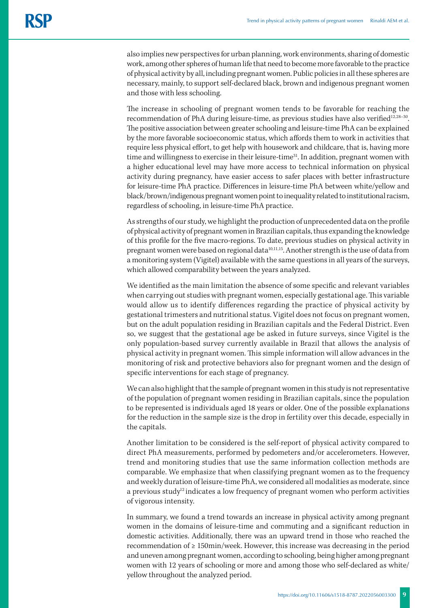also implies new perspectives for urban planning, work environments, sharing of domestic work, among other spheres of human life that need to become more favorable to the practice of physical activity by all, including pregnant women. Public policies in all these spheres are necessary, mainly, to support self-declared black, brown and indigenous pregnant women and those with less schooling.

The increase in schooling of pregnant women tends to be favorable for reaching the recommendation of PhA during leisure-time, as previous studies have also verified<sup>12,28-30</sup>. The positive association between greater schooling and leisure-time PhA can be explained by the more favorable socioeconomic status, which affords them to work in activities that require less physical effort, to get help with housework and childcare, that is, having more time and willingness to exercise in their leisure-time<sup>31</sup>. In addition, pregnant women with a higher educational level may have more access to technical information on physical activity during pregnancy, have easier access to safer places with better infrastructure for leisure-time PhA practice. Differences in leisure-time PhA between white/yellow and black/brown/indigenous pregnant women point to inequality related to institutional racism, regardless of schooling, in leisure-time PhA practice.

As strengths of our study, we highlight the production of unprecedented data on the profile of physical activity of pregnant women in Brazilian capitals, thus expanding the knowledge of this profile for the five macro-regions. To date, previous studies on physical activity in pregnant women were based on regional data<sup>10,11,15</sup>. Another strength is the use of data from a monitoring system (Vigitel) available with the same questions in all years of the surveys, which allowed comparability between the years analyzed.

We identified as the main limitation the absence of some specific and relevant variables when carrying out studies with pregnant women, especially gestational age. This variable would allow us to identify differences regarding the practice of physical activity by gestational trimesters and nutritional status. Vigitel does not focus on pregnant women, but on the adult population residing in Brazilian capitals and the Federal District. Even so, we suggest that the gestational age be asked in future surveys, since Vigitel is the only population-based survey currently available in Brazil that allows the analysis of physical activity in pregnant women. This simple information will allow advances in the monitoring of risk and protective behaviors also for pregnant women and the design of specific interventions for each stage of pregnancy.

We can also highlight that the sample of pregnant women in this study is not representative of the population of pregnant women residing in Brazilian capitals, since the population to be represented is individuals aged 18 years or older. One of the possible explanations for the reduction in the sample size is the drop in fertility over this decade, especially in the capitals.

Another limitation to be considered is the self-report of physical activity compared to direct PhA measurements, performed by pedometers and/or accelerometers. However, trend and monitoring studies that use the same information collection methods are comparable. We emphasize that when classifying pregnant women as to the frequency and weekly duration of leisure-time PhA, we considered all modalities as moderate, since a previous study<sup>12</sup> indicates a low frequency of pregnant women who perform activities of vigorous intensity.

In summary, we found a trend towards an increase in physical activity among pregnant women in the domains of leisure-time and commuting and a significant reduction in domestic activities. Additionally, there was an upward trend in those who reached the recommendation of ≥ 150min/week. However, this increase was decreasing in the period and uneven among pregnant women, according to schooling, being higher among pregnant women with 12 years of schooling or more and among those who self-declared as white/ yellow throughout the analyzed period.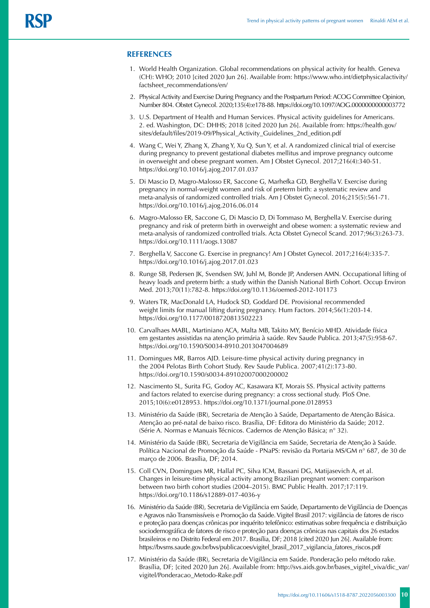# **REFERENCES**

- 1. World Health Organization. Global recommendations on physical activity for health. Geneva (CH): WHO; 2010 [cited 2020 Jun 26]. Available from: https://www.who.int/dietphysicalactivity/ factsheet\_recommendations/en/
- 2. Physical Activity and Exercise During Pregnancy and the Postpartum Period: ACOG Committee Opinion, Number 804. Obstet Gynecol. 2020;135(4):e178-88. https://doi.org/10.1097/AOG.0000000000003772
- 3. U.S. Department of Health and Human Services. Physical activity guidelines for Americans. 2. ed. Washington, DC: DHHS; 2018 [cited 2020 Jun 26]. Available from: https://health.gov/ sites/default/files/2019-09/Physical\_Activity\_Guidelines\_2nd\_edition.pdf
- 4. Wang C, Wei Y, Zhang X, Zhang Y, Xu Q, Sun Y, et al. A randomized clinical trial of exercise during pregnancy to prevent gestational diabetes mellitus and improve pregnancy outcome in overweight and obese pregnant women. Am J Obstet Gynecol. 2017;216(4):340-51. https://doi.org/10.1016/j.ajog.2017.01.037
- 5. Di Mascio D, Magro-Malosso ER, Saccone G, Marhefka GD, Berghella V. Exercise during pregnancy in normal-weight women and risk of preterm birth: a systematic review and meta-analysis of randomized controlled trials. Am J Obstet Gynecol. 2016;215(5):561-71. https://doi.org/10.1016/j.ajog.2016.06.014
- 6. Magro-Malosso ER, Saccone G, Di Mascio D, Di Tommaso M, Berghella V. Exercise during pregnancy and risk of preterm birth in overweight and obese women: a systematic review and meta-analysis of randomized controlled trials. Acta Obstet Gynecol Scand. 2017;96(3):263-73. https://doi.org/10.1111/aogs.13087
- 7. Berghella V, Saccone G. Exercise in pregnancy! Am J Obstet Gynecol. 2017;216(4):335-7. https://doi.org/10.1016/j.ajog.2017.01.023
- 8. Runge SB, Pedersen JK, Svendsen SW, Juhl M, Bonde JP, Andersen AMN. Occupational lifting of heavy loads and preterm birth: a study within the Danish National Birth Cohort. Occup Environ Med. 2013;70(11):782-8. https://doi.org/10.1136/oemed-2012-101173
- 9. Waters TR, MacDonald LA, Hudock SD, Goddard DE. Provisional recommended weight limits for manual lifting during pregnancy. Hum Factors. 2014;56(1):203-14. https://doi.org/10.1177/0018720813502223
- 10. Carvalhaes MABL, Martiniano ACA, Malta MB, Takito MY, Benício MHD. Atividade física em gestantes assistidas na atenção primária à saúde. Rev Saude Publica. 2013;47(5):958-67. <https://doi.org/10.1590/S0034-8910.2013047004689>
- 11. Domingues MR, Barros AJD. Leisure-time physical activity during pregnancy in the 2004 Pelotas Birth Cohort Study. Rev Saude Publica. 2007;41(2):173-80. https://doi.org/10.1590/s0034-89102007000200002
- 12. Nascimento SL, Surita FG, Godoy AC, Kasawara KT, Morais SS. Physical activity patterns and factors related to exercise during pregnancy: a cross sectional study. PloS One. 2015;10(6):e0128953. https://doi.org/10.1371/journal.pone.0128953
- 13. Ministério da Saúde (BR), Secretaria de Atenção à Saúde, Departamento de Atenção Básica. Atenção ao pré-natal de baixo risco. Brasília, DF: Editora do Ministério da Saúde; 2012. (Série A. Normas e Manuais Técnicos. Cadernos de Atenção Básica; n° 32).
- 14. Ministério da Saúde (BR), Secretaria de Vigilância em Saúde, Secretaria de Atenção à Saúde. Política Nacional de Promoção da Saúde - PNaPS: revisão da Portaria MS/GM n° 687, de 30 de março de 2006. Brasília, DF; 2014.
- 15. Coll CVN, Domingues MR, Hallal PC, Silva ICM, Bassani DG, Matijasevich A, et al. Changes in leisure-time physical activity among Brazilian pregnant women: comparison between two birth cohort studies (2004–2015). BMC Public Health. 2017;17:119. https://doi.org/10.1186/s12889-017-4036-y
- 16. Ministério da Saúde (BR), Secretaria de Vigilância em Saúde, Departamento de Vigilância de Doenças e Agravos não Transmissíveis e Promoção da Saúde. Vigitel Brasil 2017: vigilância de fatores de risco e proteção para doenças crônicas por inquérito telefônico: estimativas sobre frequência e distribuição sociodemográfica de fatores de risco e proteção para doenças crônicas nas capitais dos 26 estados brasileiros e no Distrito Federal em 2017. Brasília, DF; 2018 [cited 2020 Jun 26]. Available from: https://bvsms.saude.gov.br/bvs/publicacoes/vigitel\_brasil\_2017\_vigilancia\_fatores\_riscos.pdf
- 17. Ministério da Saúde (BR), Secretaria de Vigilância em Saúde. Ponderação pelo método rake. Brasília, DF; [cited 2020 Jun 26]. Available from: http://svs.aids.gov.br/bases\_vigitel\_viva/dic\_var/ vigitel/Ponderacao\_Metodo-Rake.pdf